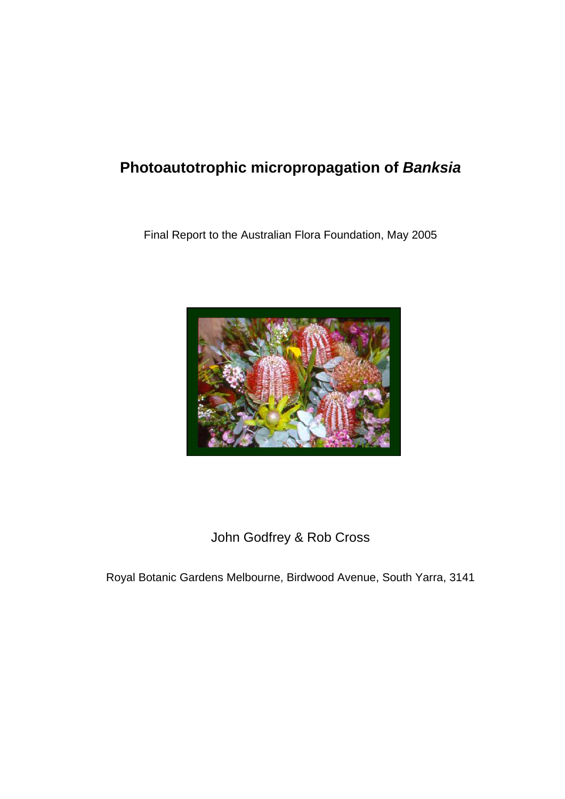# **Photoautotrophic micropropagation of** *Banksia*

Final Report to the Australian Flora Foundation, May 2005



John Godfrey & Rob Cross

Royal Botanic Gardens Melbourne, Birdwood Avenue, South Yarra, 3141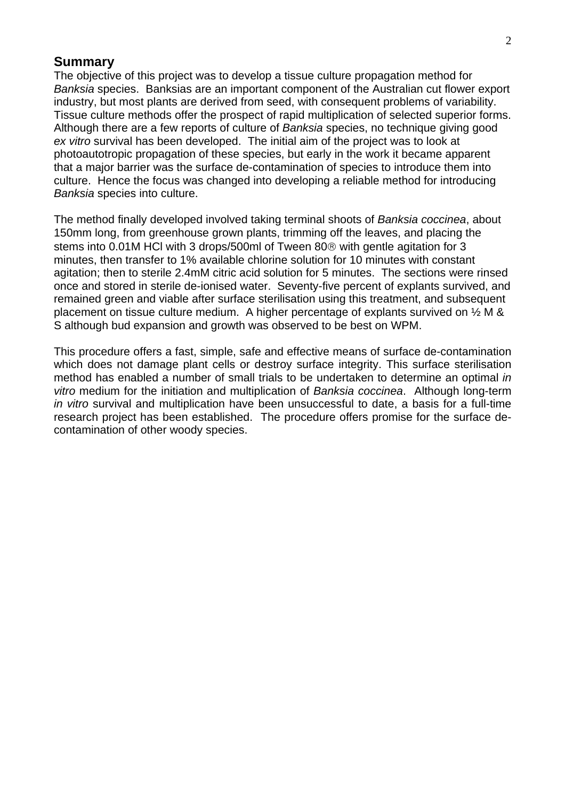#### **Summary**

The objective of this project was to develop a tissue culture propagation method for *Banksia* species. Banksias are an important component of the Australian cut flower export industry, but most plants are derived from seed, with consequent problems of variability. Tissue culture methods offer the prospect of rapid multiplication of selected superior forms. Although there are a few reports of culture of *Banksia* species, no technique giving good *ex vitro* survival has been developed. The initial aim of the project was to look at photoautotropic propagation of these species, but early in the work it became apparent that a major barrier was the surface de-contamination of species to introduce them into culture. Hence the focus was changed into developing a reliable method for introducing *Banksia* species into culture.

The method finally developed involved taking terminal shoots of *Banksia coccinea*, about 150mm long, from greenhouse grown plants, trimming off the leaves, and placing the stems into 0.01M HCl with 3 drops/500ml of Tween 80® with gentle agitation for 3 minutes, then transfer to 1% available chlorine solution for 10 minutes with constant agitation; then to sterile 2.4mM citric acid solution for 5 minutes. The sections were rinsed once and stored in sterile de-ionised water. Seventy-five percent of explants survived, and remained green and viable after surface sterilisation using this treatment, and subsequent placement on tissue culture medium. A higher percentage of explants survived on ½ M & S although bud expansion and growth was observed to be best on WPM.

This procedure offers a fast, simple, safe and effective means of surface de-contamination which does not damage plant cells or destroy surface integrity. This surface sterilisation method has enabled a number of small trials to be undertaken to determine an optimal *in vitro* medium for the initiation and multiplication of *Banksia coccinea*. Although long-term *in vitro* survival and multiplication have been unsuccessful to date, a basis for a full-time research project has been established. The procedure offers promise for the surface decontamination of other woody species.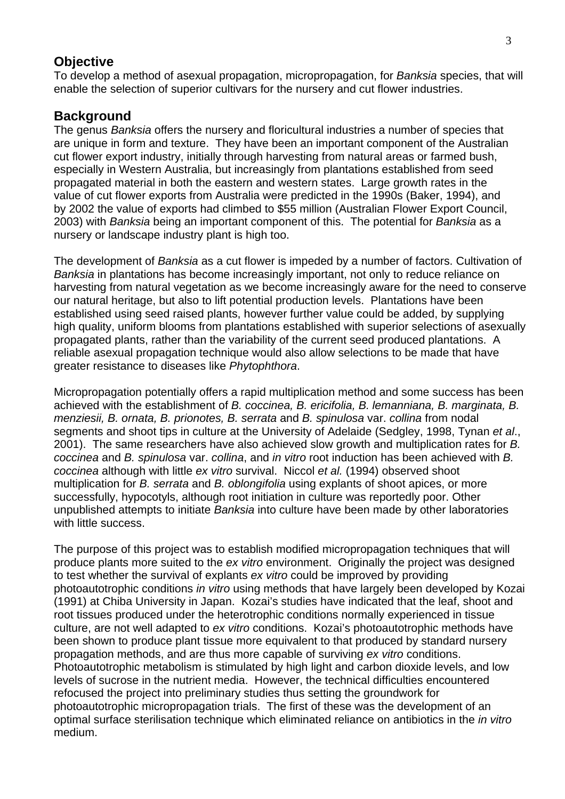#### **Objective**

To develop a method of asexual propagation, micropropagation, for *Banksia* species, that will enable the selection of superior cultivars for the nursery and cut flower industries.

# **Background**

The genus *Banksia* offers the nursery and floricultural industries a number of species that are unique in form and texture. They have been an important component of the Australian cut flower export industry, initially through harvesting from natural areas or farmed bush, especially in Western Australia, but increasingly from plantations established from seed propagated material in both the eastern and western states. Large growth rates in the value of cut flower exports from Australia were predicted in the 1990s (Baker, 1994), and by 2002 the value of exports had climbed to \$55 million (Australian Flower Export Council, 2003) with *Banksia* being an important component of this. The potential for *Banksia* as a nursery or landscape industry plant is high too.

The development of *Banksia* as a cut flower is impeded by a number of factors. Cultivation of *Banksia* in plantations has become increasingly important, not only to reduce reliance on harvesting from natural vegetation as we become increasingly aware for the need to conserve our natural heritage, but also to lift potential production levels. Plantations have been established using seed raised plants, however further value could be added, by supplying high quality, uniform blooms from plantations established with superior selections of asexually propagated plants, rather than the variability of the current seed produced plantations. A reliable asexual propagation technique would also allow selections to be made that have greater resistance to diseases like *Phytophthora*.

Micropropagation potentially offers a rapid multiplication method and some success has been achieved with the establishment of *B. coccinea, B. ericifolia, B. lemanniana, B. marginata, B. menziesii, B. ornata, B. prionotes, B. serrata* and *B. spinulosa* var. *collina* from nodal segments and shoot tips in culture at the University of Adelaide (Sedgley, 1998, Tynan *et al*., 2001). The same researchers have also achieved slow growth and multiplication rates for *B. coccinea* and *B. spinulosa* var. *collina*, and *in vitro* root induction has been achieved with *B. coccinea* although with little *ex vitro* survival. Niccol *et al.* (1994) observed shoot multiplication for *B. serrata* and *B. oblongifolia* using explants of shoot apices, or more successfully, hypocotyls, although root initiation in culture was reportedly poor. Other unpublished attempts to initiate *Banksia* into culture have been made by other laboratories with little success.

The purpose of this project was to establish modified micropropagation techniques that will produce plants more suited to the *ex vitro* environment. Originally the project was designed to test whether the survival of explants *ex vitro* could be improved by providing photoautotrophic conditions *in vitro* using methods that have largely been developed by Kozai (1991) at Chiba University in Japan. Kozai's studies have indicated that the leaf, shoot and root tissues produced under the heterotrophic conditions normally experienced in tissue culture, are not well adapted to *ex vitro* conditions. Kozai's photoautotrophic methods have been shown to produce plant tissue more equivalent to that produced by standard nursery propagation methods, and are thus more capable of surviving *ex vitro* conditions. Photoautotrophic metabolism is stimulated by high light and carbon dioxide levels, and low levels of sucrose in the nutrient media. However, the technical difficulties encountered refocused the project into preliminary studies thus setting the groundwork for photoautotrophic micropropagation trials. The first of these was the development of an optimal surface sterilisation technique which eliminated reliance on antibiotics in the *in vitro* medium.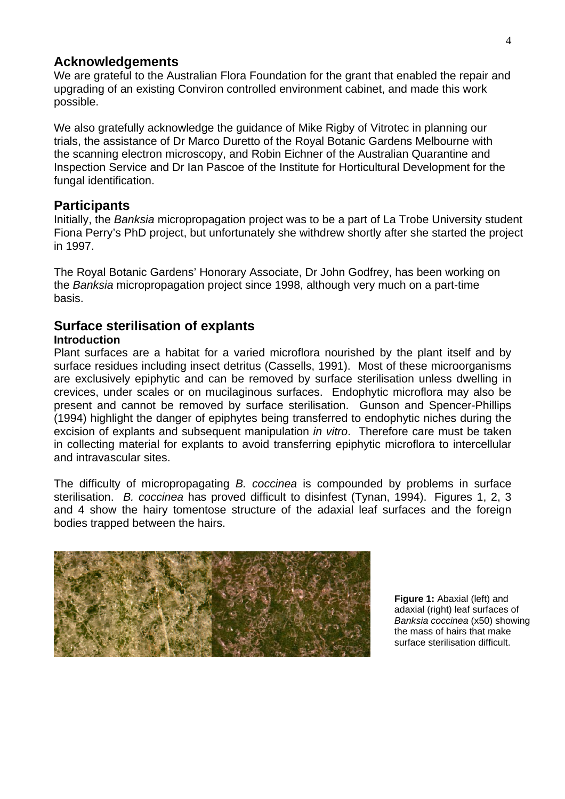# **Acknowledgements**

We are grateful to the Australian Flora Foundation for the grant that enabled the repair and upgrading of an existing Conviron controlled environment cabinet, and made this work possible.

We also gratefully acknowledge the guidance of Mike Rigby of Vitrotec in planning our trials, the assistance of Dr Marco Duretto of the Royal Botanic Gardens Melbourne with the scanning electron microscopy, and Robin Eichner of the Australian Quarantine and Inspection Service and Dr Ian Pascoe of the Institute for Horticultural Development for the fungal identification.

# **Participants**

Initially, the *Banksia* micropropagation project was to be a part of La Trobe University student Fiona Perry's PhD project, but unfortunately she withdrew shortly after she started the project in 1997.

The Royal Botanic Gardens' Honorary Associate, Dr John Godfrey, has been working on the *Banksia* micropropagation project since 1998, although very much on a part-time basis.

# **Surface sterilisation of explants**

#### **Introduction**

Plant surfaces are a habitat for a varied microflora nourished by the plant itself and by surface residues including insect detritus (Cassells, 1991). Most of these microorganisms are exclusively epiphytic and can be removed by surface sterilisation unless dwelling in crevices, under scales or on mucilaginous surfaces. Endophytic microflora may also be present and cannot be removed by surface sterilisation. Gunson and Spencer-Phillips (1994) highlight the danger of epiphytes being transferred to endophytic niches during the excision of explants and subsequent manipulation *in vitro*. Therefore care must be taken in collecting material for explants to avoid transferring epiphytic microflora to intercellular and intravascular sites.

The difficulty of micropropagating *B. coccinea* is compounded by problems in surface sterilisation. *B. coccinea* has proved difficult to disinfest (Tynan, 1994). Figures 1, 2, 3 and 4 show the hairy tomentose structure of the adaxial leaf surfaces and the foreign bodies trapped between the hairs.



**Figure 1:** Abaxial (left) and adaxial (right) leaf surfaces of *Banksia coccinea* (x50) showing the mass of hairs that make surface sterilisation difficult.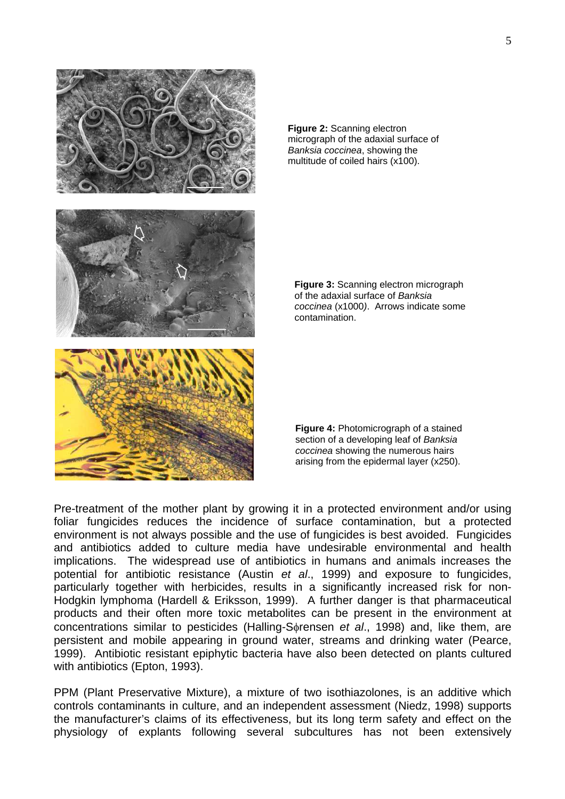

**Figure 2:** Scanning electron micrograph of the adaxial surface of *Banksia coccinea*, showing the multitude of coiled hairs (x100).

**Figure 3:** Scanning electron micrograph of the adaxial surface of *Banksia coccinea* (x1000*)*. Arrows indicate some contamination.

**Figure 4:** Photomicrograph of a stained section of a developing leaf of *Banksia coccinea* showing the numerous hairs arising from the epidermal layer (x250).

Pre-treatment of the mother plant by growing it in a protected environment and/or using foliar fungicides reduces the incidence of surface contamination, but a protected environment is not always possible and the use of fungicides is best avoided. Fungicides and antibiotics added to culture media have undesirable environmental and health implications. The widespread use of antibiotics in humans and animals increases the potential for antibiotic resistance (Austin *et al*., 1999) and exposure to fungicides, particularly together with herbicides, results in a significantly increased risk for non-Hodgkin lymphoma (Hardell & Eriksson, 1999). A further danger is that pharmaceutical products and their often more toxic metabolites can be present in the environment at concentrations similar to pesticides (Halling-Sφrensen *et al*., 1998) and, like them, are persistent and mobile appearing in ground water, streams and drinking water (Pearce, 1999). Antibiotic resistant epiphytic bacteria have also been detected on plants cultured with antibiotics (Epton, 1993).

PPM (Plant Preservative Mixture), a mixture of two isothiazolones, is an additive which controls contaminants in culture, and an independent assessment (Niedz, 1998) supports the manufacturer's claims of its effectiveness, but its long term safety and effect on the physiology of explants following several subcultures has not been extensively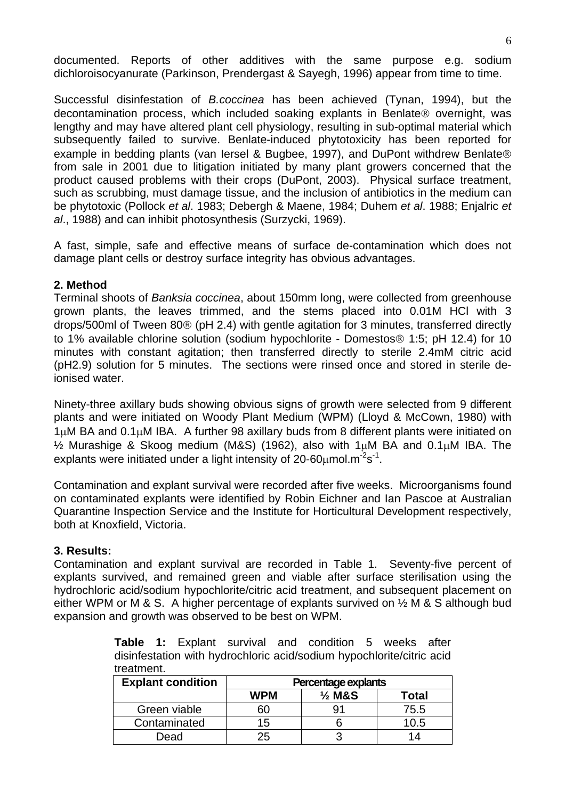documented. Reports of other additives with the same purpose e.g. sodium dichloroisocyanurate (Parkinson, Prendergast & Sayegh, 1996) appear from time to time.

Successful disinfestation of *B.coccinea* has been achieved (Tynan, 1994), but the decontamination process, which included soaking explants in Benlate® overnight, was lengthy and may have altered plant cell physiology, resulting in sub-optimal material which subsequently failed to survive. Benlate-induced phytotoxicity has been reported for example in bedding plants (van Iersel & Bugbee, 1997), and DuPont withdrew Benlate® from sale in 2001 due to litigation initiated by many plant growers concerned that the product caused problems with their crops (DuPont, 2003). Physical surface treatment, such as scrubbing, must damage tissue, and the inclusion of antibiotics in the medium can be phytotoxic (Pollock *et al*. 1983; Debergh & Maene, 1984; Duhem *et al*. 1988; Enjalric *et al*., 1988) and can inhibit photosynthesis (Surzycki, 1969).

A fast, simple, safe and effective means of surface de-contamination which does not damage plant cells or destroy surface integrity has obvious advantages.

#### **2. Method**

Terminal shoots of *Banksia coccinea*, about 150mm long, were collected from greenhouse grown plants, the leaves trimmed, and the stems placed into 0.01M HCl with 3 drops/500ml of Tween 80® (pH 2.4) with gentle agitation for 3 minutes, transferred directly to 1% available chlorine solution (sodium hypochlorite - Domestos® 1:5; pH 12.4) for 10 minutes with constant agitation; then transferred directly to sterile 2.4mM citric acid (pH2.9) solution for 5 minutes. The sections were rinsed once and stored in sterile deionised water.

Ninety-three axillary buds showing obvious signs of growth were selected from 9 different plants and were initiated on Woody Plant Medium (WPM) (Lloyd & McCown, 1980) with 1µM BA and 0.1µM IBA. A further 98 axillary buds from 8 different plants were initiated on ½ Murashige & Skoog medium (M&S) (1962), also with 1µM BA and 0.1µM IBA. The explants were initiated under a light intensity of 20-60 $\mu$ mol.m<sup>-2</sup>s<sup>-1</sup>.

Contamination and explant survival were recorded after five weeks. Microorganisms found on contaminated explants were identified by Robin Eichner and Ian Pascoe at Australian Quarantine Inspection Service and the Institute for Horticultural Development respectively, both at Knoxfield, Victoria.

#### **3. Results:**

Contamination and explant survival are recorded in Table 1. Seventy-five percent of explants survived, and remained green and viable after surface sterilisation using the hydrochloric acid/sodium hypochlorite/citric acid treatment, and subsequent placement on either WPM or M & S. A higher percentage of explants survived on ½ M & S although bud expansion and growth was observed to be best on WPM.

**Table 1:** Explant survival and condition 5 weeks after disinfestation with hydrochloric acid/sodium hypochlorite/citric acid treatment.

| <b>Explant condition</b> | Percentage explants |                   |       |
|--------------------------|---------------------|-------------------|-------|
|                          | <b>WPM</b>          | $\frac{1}{2}$ M&S | Total |
| Green viable             |                     |                   | 75.5  |
| Contaminated             | 15                  |                   | 10.5  |
| Dead                     | 25                  |                   | ٦4    |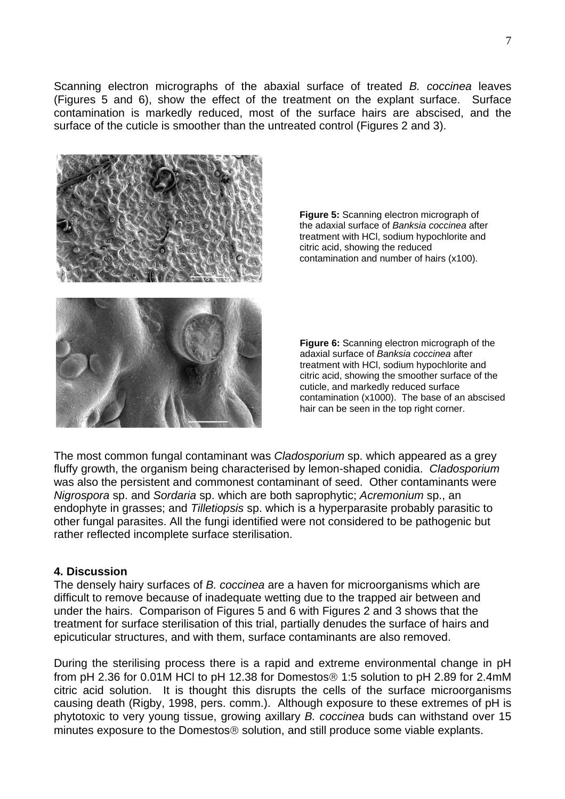Scanning electron micrographs of the abaxial surface of treated *B. coccinea* leaves (Figures 5 and 6), show the effect of the treatment on the explant surface. Surface contamination is markedly reduced, most of the surface hairs are abscised, and the surface of the cuticle is smoother than the untreated control (Figures 2 and 3).



**Figure 5:** Scanning electron micrograph of the adaxial surface of *Banksia coccinea* after treatment with HCl, sodium hypochlorite and citric acid, showing the reduced contamination and number of hairs (x100).

**Figure 6:** Scanning electron micrograph of the adaxial surface of *Banksia coccinea* after treatment with HCl, sodium hypochlorite and citric acid, showing the smoother surface of the cuticle, and markedly reduced surface contamination (x1000). The base of an abscised hair can be seen in the top right corner.

The most common fungal contaminant was *Cladosporium* sp. which appeared as a grey fluffy growth, the organism being characterised by lemon-shaped conidia. *Cladosporium* was also the persistent and commonest contaminant of seed. Other contaminants were *Nigrospora* sp. and *Sordaria* sp. which are both saprophytic; *Acremonium* sp., an endophyte in grasses; and *Tilletiopsis* sp. which is a hyperparasite probably parasitic to other fungal parasites. All the fungi identified were not considered to be pathogenic but rather reflected incomplete surface sterilisation.

#### **4. Discussion**

The densely hairy surfaces of *B. coccinea* are a haven for microorganisms which are difficult to remove because of inadequate wetting due to the trapped air between and under the hairs. Comparison of Figures 5 and 6 with Figures 2 and 3 shows that the treatment for surface sterilisation of this trial, partially denudes the surface of hairs and epicuticular structures, and with them, surface contaminants are also removed.

During the sterilising process there is a rapid and extreme environmental change in pH from pH 2.36 for 0.01M HCl to pH 12.38 for Domestos® 1:5 solution to pH 2.89 for 2.4mM citric acid solution. It is thought this disrupts the cells of the surface microorganisms causing death (Rigby, 1998, pers. comm.). Although exposure to these extremes of pH is phytotoxic to very young tissue, growing axillary *B. coccinea* buds can withstand over 15 minutes exposure to the Domestos® solution, and still produce some viable explants.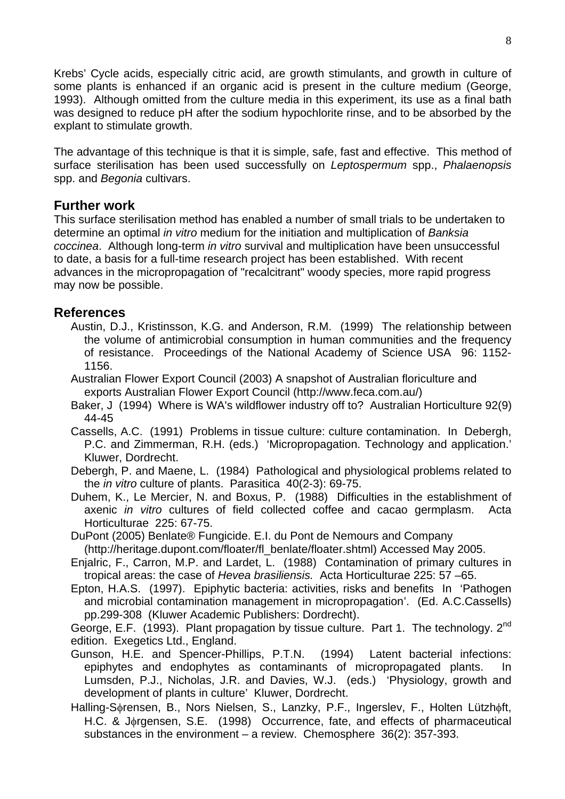Krebs' Cycle acids, especially citric acid, are growth stimulants, and growth in culture of some plants is enhanced if an organic acid is present in the culture medium (George, 1993). Although omitted from the culture media in this experiment, its use as a final bath was designed to reduce pH after the sodium hypochlorite rinse, and to be absorbed by the explant to stimulate growth.

The advantage of this technique is that it is simple, safe, fast and effective. This method of surface sterilisation has been used successfully on *Leptospermum* spp., *Phalaenopsis* spp. and *Begonia* cultivars.

### **Further work**

This surface sterilisation method has enabled a number of small trials to be undertaken to determine an optimal *in vitro* medium for the initiation and multiplication of *Banksia coccinea*. Although long-term *in vitro* survival and multiplication have been unsuccessful to date, a basis for a full-time research project has been established. With recent advances in the micropropagation of "recalcitrant" woody species, more rapid progress may now be possible.

# **References**

- Austin, D.J., Kristinsson, K.G. and Anderson, R.M. (1999) The relationship between the volume of antimicrobial consumption in human communities and the frequency of resistance. Proceedings of the National Academy of Science USA 96: 1152- 1156.
- Australian Flower Export Council (2003) A snapshot of Australian floriculture and exports Australian Flower Export Council (http://www.feca.com.au/)
- Baker, J (1994) Where is WA's wildflower industry off to? Australian Horticulture 92(9) 44-45
- Cassells, A.C. (1991) Problems in tissue culture: culture contamination. In Debergh, P.C. and Zimmerman, R.H. (eds.) 'Micropropagation. Technology and application.' Kluwer, Dordrecht.
- Debergh, P. and Maene, L. (1984) Pathological and physiological problems related to the *in vitro* culture of plants. Parasitica 40(2-3): 69-75.
- Duhem, K., Le Mercier, N. and Boxus, P. (1988) Difficulties in the establishment of axenic *in vitro* cultures of field collected coffee and cacao germplasm. Acta Horticulturae 225: 67-75.
- DuPont (2005) Benlate® Fungicide. E.I. du Pont de Nemours and Company (http://heritage.dupont.com/floater/fl\_benlate/floater.shtml) Accessed May 2005.
- Enjalric, F., Carron, M.P. and Lardet, L. (1988) Contamination of primary cultures in tropical areas: the case of *Hevea brasiliensis.* Acta Horticulturae 225: 57 –65.
- Epton, H.A.S. (1997). Epiphytic bacteria: activities, risks and benefits In 'Pathogen and microbial contamination management in micropropagation'. (Ed. A.C.Cassells) pp.299-308 (Kluwer Academic Publishers: Dordrecht).

George, E.F. (1993). Plant propagation by tissue culture. Part 1. The technology. 2<sup>nd</sup> edition. Exegetics Ltd., England.

- Gunson, H.E. and Spencer-Phillips, P.T.N. (1994) Latent bacterial infections: epiphytes and endophytes as contaminants of micropropagated plants. In Lumsden, P.J., Nicholas, J.R. and Davies, W.J. (eds.) 'Physiology, growth and development of plants in culture' Kluwer, Dordrecht.
- Halling-Sφrensen, B., Nors Nielsen, S., Lanzky, P.F., Ingerslev, F., Holten Lützhφft, H.C. & Jorgensen, S.E. (1998) Occurrence, fate, and effects of pharmaceutical substances in the environment – a review. Chemosphere 36(2): 357-393.